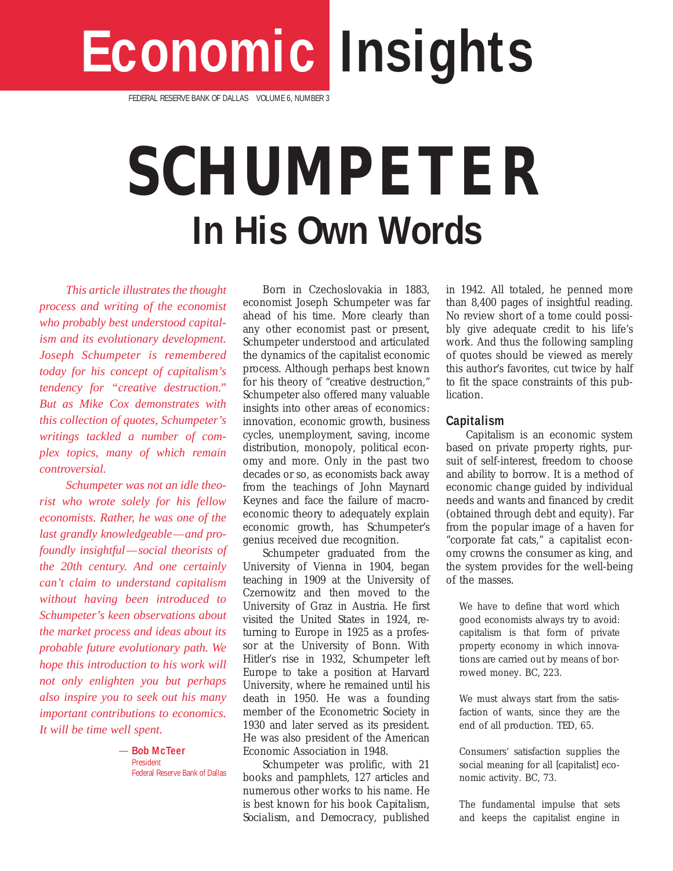# **Economic Insights**

FEDERAL RESERVE BANK OF DALLAS VOLUME 6, NUMBER 3

## **SCHUMPETER In His Own Words**

*This article illustrates the thought process and writing of the economist who probably best understood capitalism and its evolutionary development. Joseph Schumpeter is remembered today for his concept of capitalism's tendency for "creative destruction." But as Mike Cox demonstrates with this collection of quotes, Schumpeter's writings tackled a number of complex topics, many of which remain controversial.*

*Schumpeter was not an idle theorist who wrote solely for his fellow economists. Rather, he was one of the last grandly knowledgeable—and profoundly insightful—social theorists of the 20th century. And one certainly can't claim to understand capitalism without having been introduced to Schumpeter's keen observations about the market process and ideas about its probable future evolutionary path. We hope this introduction to his work will not only enlighten you but perhaps also inspire you to seek out his many important contributions to economics. It will be time well spent.*

> *—* **Bob McTeer** President Federal Reserve Bank of Dallas

Born in Czechoslovakia in 1883, economist Joseph Schumpeter was far ahead of his time. More clearly than any other economist past or present, Schumpeter understood and articulated the dynamics of the capitalist economic process. Although perhaps best known for his theory of "creative destruction," Schumpeter also offered many valuable insights into other areas of economics: innovation, economic growth, business cycles, unemployment, saving, income distribution, monopoly, political economy and more. Only in the past two decades or so, as economists back away from the teachings of John Maynard Keynes and face the failure of macroeconomic theory to adequately explain economic growth, has Schumpeter's genius received due recognition.

Schumpeter graduated from the University of Vienna in 1904, began teaching in 1909 at the University of Czernowitz and then moved to the University of Graz in Austria. He first visited the United States in 1924, returning to Europe in 1925 as a professor at the University of Bonn. With Hitler's rise in 1932, Schumpeter left Europe to take a position at Harvard University, where he remained until his death in 1950. He was a founding member of the Econometric Society in 1930 and later served as its president. He was also president of the American Economic Association in 1948.

Schumpeter was prolific, with 21 books and pamphlets, 127 articles and numerous other works to his name. He is best known for his book *Capitalism, Socialism, and Democracy*, published in 1942. All totaled, he penned more than 8,400 pages of insightful reading. No review short of a tome could possibly give adequate credit to his life's work. And thus the following sampling of quotes should be viewed as merely this author's favorites, cut twice by half to fit the space constraints of this publication.

#### **Capitalism**

Capitalism is an economic system based on private property rights, pursuit of self-interest, freedom to choose and ability to borrow. It is a method of economic *change* guided by individual needs and wants and financed by credit (obtained through debt and equity). Far from the popular image of a haven for "corporate fat cats," a capitalist economy crowns the consumer as king, and the system provides for the well-being of the masses.

We have to define that word which good economists always try to avoid: capitalism is that form of private property economy in which innovations are carried out by means of borrowed money. *BC, 223.*

We must always start from the satisfaction of wants, since they are the end of all production. *TED, 65.*

Consumers' satisfaction supplies the social meaning for all [capitalist] economic activity. *BC, 73.*

The fundamental impulse that sets and keeps the capitalist engine in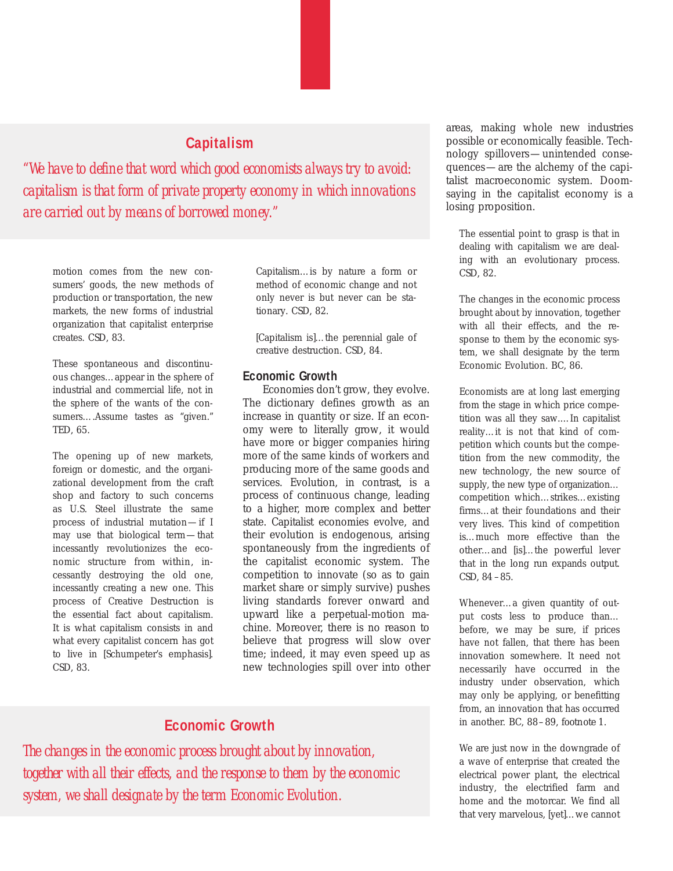## **Capitalism**

*"We have to define that word which good economists always try to avoid: capitalism is that form of private property economy in which innovations are carried out by means of borrowed money."*

motion comes from the new consumers' goods, the new methods of production or transportation, the new markets, the new forms of industrial organization that capitalist enterprise creates. *CSD, 83.*

These spontaneous and discontinuous changes…appear in the sphere of industrial and commercial life, not in the sphere of the wants of the consumers….Assume tastes as "given." *TED, 65.*

The opening up of new markets, foreign or domestic, and the organizational development from the craft shop and factory to such concerns as U.S. Steel illustrate the same process of industrial mutation—if I may use that biological term—that incessantly revolutionizes the economic structure *from within*, incessantly destroying the old one, incessantly creating a new one. This process of Creative Destruction is the essential fact about capitalism. It is what capitalism consists in and what every capitalist concern has got to live in [Schumpeter's emphasis]. *CSD, 83.*

Capitalism…is by nature a form or method of economic change and not only never is but never can be stationary. *CSD, 82.*

[Capitalism is]…the perennial gale of creative destruction. *CSD, 84.*

#### **Economic Growth**

Economies don't grow, they evolve. The dictionary defines growth as an increase in quantity or size. If an economy were to literally grow, it would have more or bigger companies hiring more of the same kinds of workers and producing more of the same goods and services. Evolution, in contrast, is a process of continuous change, leading to a higher, more complex and better state. Capitalist economies evolve, and their evolution is endogenous, arising spontaneously from the ingredients of the capitalist economic system. The competition to innovate (so as to gain market share or simply survive) pushes living standards forever onward and upward like a perpetual-motion machine. Moreover, there is no reason to believe that progress will slow over time; indeed, it may even speed up as new technologies spill over into other

## **Economic Growth**

*The changes in the economic process brought about by innovation, together with all their effects, and the response to them by the economic system, we shall designate by the term Economic Evolution.*

areas, making whole new industries possible or economically feasible. Technology spillovers—unintended consequences—are the alchemy of the capitalist macroeconomic system. Doomsaying in the capitalist economy is a losing proposition.

The essential point to grasp is that in dealing with capitalism we are dealing with an evolutionary process. *CSD, 82.*

The changes in the economic process brought about by innovation, together with all their effects, and the response to them by the economic system, we shall designate by the term Economic Evolution. *BC, 86.*

Economists are at long last emerging from the stage in which price competition was all they saw.…In capitalist reality…it is not that kind of competition which counts but the competition from the new commodity, the new technology, the new source of supply, the new type of organization… competition which…strikes…existing firms…at their foundations and their very lives. This kind of competition is…much more effective than the other…and [is]…the powerful lever that in the long run expands output. *CSD, 84 –85.*

Whenever…a given quantity of output costs less to produce than… before, we may be sure, if prices have not fallen, that there has been innovation somewhere. It need not necessarily have occurred in the industry under observation, which may only be applying, or benefitting from, an innovation that has occurred in another. *BC, 88–89, footnote 1.*

We are just now in the downgrade of a wave of enterprise that created the electrical power plant, the electrical industry, the electrified farm and home and the motorcar. We find all that very marvelous, [yet]…we cannot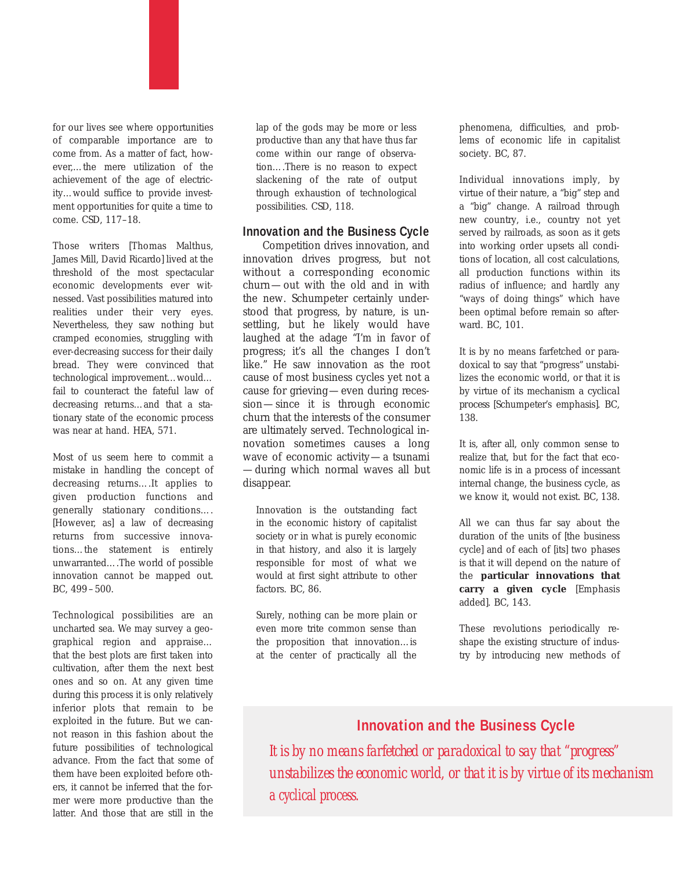

Those writers [Thomas Malthus, James Mill, David Ricardo] lived at the threshold of the most spectacular economic developments ever witnessed. Vast possibilities matured into realities under their very eyes. Nevertheless, they saw nothing but cramped economies, struggling with ever-decreasing success for their daily bread. They were convinced that technological improvement…would… fail to counteract the fateful law of decreasing returns…and that a stationary state of the economic process was near at hand. *HEA, 571.*

Most of us seem here to commit a mistake in handling the concept of decreasing returns….It applies to given production functions and generally stationary conditions…. [However, as] a law of decreasing returns from successive innovations…the statement is entirely unwarranted….The world of possible innovation cannot be mapped out. *BC, 499 –500.*

Technological possibilities are an uncharted sea. We may survey a geographical region and appraise… that the best plots are first taken into cultivation, after them the next best ones and so on. At any given time during this process it is only relatively inferior plots that remain to be exploited in the future. But we cannot reason in this fashion about the future possibilities of technological advance. From the fact that some of them have been exploited before others, it cannot be inferred that the former were more productive than the latter. And those that are still in the lap of the gods may be more or less productive than any that have thus far come within our range of observation….There is no reason to expect slackening of the rate of output through exhaustion of technological possibilities. *CSD, 118.*

#### **Innovation and the Business Cycle**

Competition drives innovation, and innovation drives progress, but not without a corresponding economic churn—out with the old and in with the new. Schumpeter certainly understood that progress, by nature, is unsettling, but he likely would have laughed at the adage "I'm in favor of progress; it's all the changes I don't like." He saw innovation as the root cause of most business cycles yet not a cause for grieving—even during recession—since it is through economic churn that the interests of the consumer are ultimately served. Technological innovation sometimes causes a long wave of economic activity—a tsunami —during which normal waves all but disappear.

Innovation is the outstanding fact in the economic history of capitalist society or in what is purely economic in that history, and also it is largely responsible for most of what we would at first sight attribute to other factors. *BC, 86.*

Surely, nothing can be more plain or even more trite common sense than the proposition that innovation…is at the center of practically all the phenomena, difficulties, and problems of economic life in capitalist society. *BC, 87.*

Individual innovations imply, by virtue of their nature, a "big" step and a "big" change. A railroad through new country, i.e., country not yet served by railroads, as soon as it gets into working order upsets all conditions of location, all cost calculations, all production functions within its radius of influence; and hardly any "ways of doing things" which have been optimal before remain so afterward. *BC, 101.*

It is by no means farfetched or paradoxical to say that "progress" unstabilizes the economic world, or that it is by virtue of its mechanism *a cyclical process* [Schumpeter's emphasis]. *BC, 138.*

It is, after all, only common sense to realize that, but for the fact that economic life is in a process of incessant internal change, the business cycle, as we know it, would not exist. *BC, 138.*

All we can thus far say about the duration of the units of [the business cycle] and of each of [its] two phases is that it will depend on the nature of the **particular innovations that carry a given cycle** [Emphasis added]. *BC, 143.*

These revolutions periodically reshape the existing structure of industry by introducing new methods of

## **Innovation and the Business Cycle**

*It is by no means farfetched or paradoxical to say that "progress" unstabilizes the economic world, or that it is by virtue of its mechanism*  a cyclical process.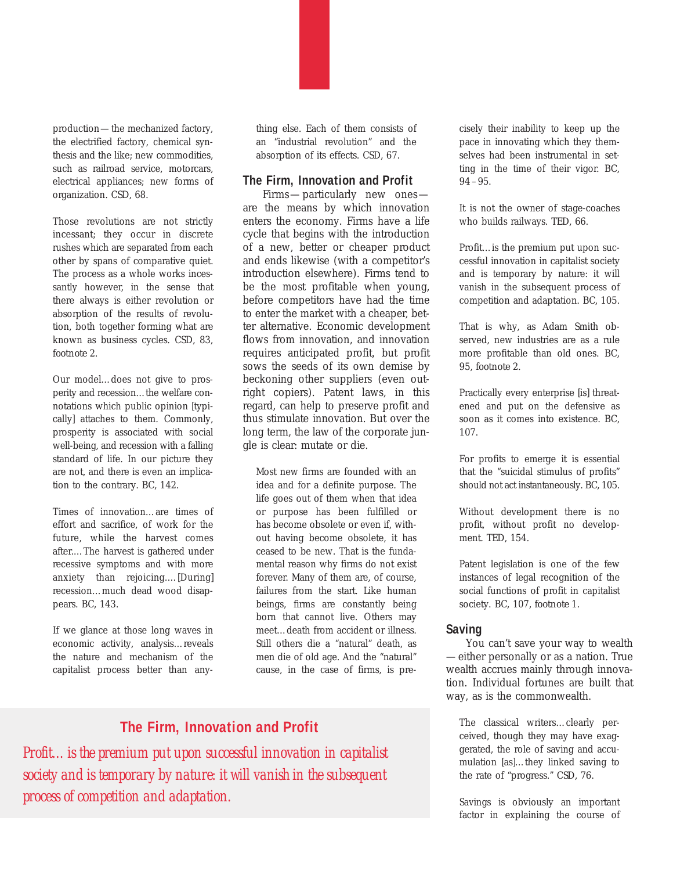production—the mechanized factory, the electrified factory, chemical synthesis and the like; new commodities, such as railroad service, motorcars, electrical appliances; new forms of organization. *CSD, 68.*

Those revolutions are not strictly incessant; they occur in discrete rushes which are separated from each other by spans of comparative quiet. The process as a whole works incessantly however, in the sense that there always is either revolution or absorption of the results of revolution, both together forming what are known as business cycles. *CSD, 83, footnote 2.*

Our model…does not give to prosperity and recession…the welfare connotations which public opinion [typically] attaches to them. Commonly, prosperity is associated with social well-being, and recession with a falling standard of life. In our picture they are not, and there is even an implication to the contrary. *BC, 142.*

Times of innovation…are times of effort and sacrifice, of work for the future, while the harvest comes after.…The harvest is gathered under recessive symptoms and with more anxiety than rejoicing.…[During] recession…much dead wood disappears. *BC, 143.*

If we glance at those long waves in economic activity, analysis…reveals the nature and mechanism of the capitalist process better than anything else. Each of them consists of an "industrial revolution" and the absorption of its effects. *CSD, 67.*

#### **The Firm, Innovation and Profit**

Firms—particularly new ones are the means by which innovation enters the economy. Firms have a life cycle that begins with the introduction of a new, better or cheaper product and ends likewise (with a competitor's introduction elsewhere). Firms tend to be the most profitable when young, before competitors have had the time to enter the market with a cheaper, better alternative. Economic development flows from innovation, and innovation requires anticipated profit, but profit sows the seeds of its own demise by beckoning other suppliers (even outright copiers). Patent laws, in this regard, can help to preserve profit and thus stimulate innovation. But over the long term, the law of the corporate jungle is clear: mutate or die.

Most new firms are founded with an idea and for a definite purpose. The life goes out of them when that idea or purpose has been fulfilled or has become obsolete or even if, without having become obsolete, it has ceased to be new. That is the fundamental reason why firms do not exist forever. Many of them are, of course, failures from the start. Like human beings, firms are constantly being born that cannot live. Others may meet…death from accident or illness. Still others die a "natural" death, as men die of old age. And the "natural" cause, in the case of firms, is pre-

## **The Firm, Innovation and Profit**

*Profit…is the premium put upon successful innovation in capitalist society and is temporary by nature: it will vanish in the subsequent process of competition and adaptation.*

cisely their inability to keep up the pace in innovating which they themselves had been instrumental in setting in the time of their vigor. *BC, 94 –95.*

It is not the owner of stage-coaches who builds railways. *TED, 66.*

Profit…is the premium put upon successful innovation in capitalist society and is temporary by nature: it will vanish in the subsequent process of competition and adaptation. *BC, 105.*

That is why, as Adam Smith observed, new industries are as a rule more profitable than old ones. *BC, 95, footnote 2.*

Practically every enterprise [is] threatened and put on the defensive as soon as it comes into existence. *BC, 107.*

For profits to emerge it is essential that the "suicidal stimulus of profits" should not act instantaneously. *BC, 105.*

Without development there is no profit, without profit no development. *TED, 154.*

Patent legislation is one of the few instances of legal recognition of the social functions of profit in capitalist society. *BC, 107, footnote 1.*

#### **Saving**

You can't save your way to wealth —either personally or as a nation. True wealth accrues mainly through innovation. Individual fortunes are built that way, as is the commonwealth.

The classical writers…clearly perceived, though they may have exaggerated, the role of saving and accumulation [as]…they linked saving to the rate of "progress." *CSD, 76.*

Savings is obviously an important factor in explaining the course of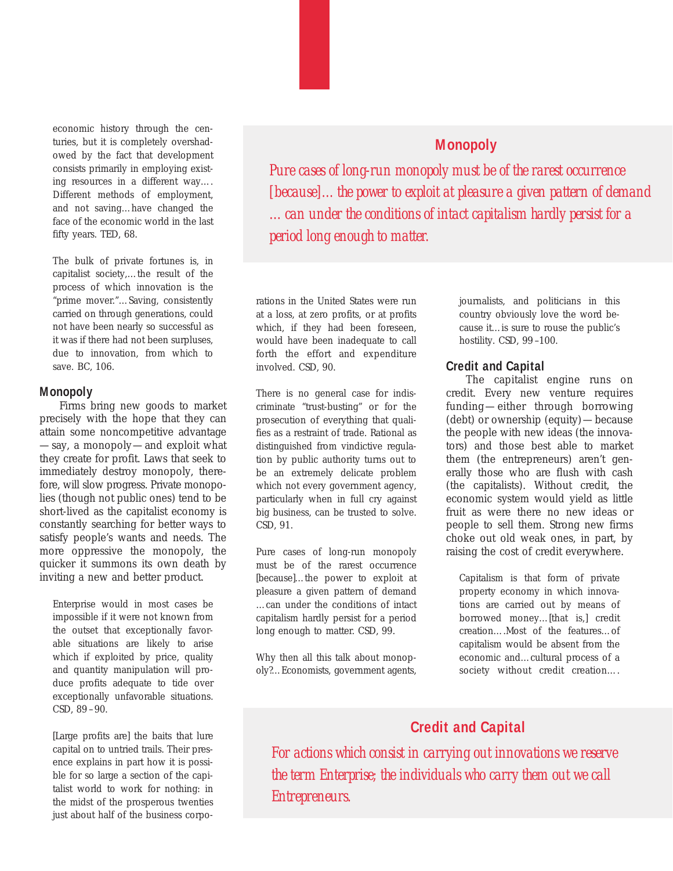economic history through the centuries, but it is completely overshadowed by the fact that development consists primarily in employing existing resources in a different way…. Different methods of employment, and not saving…have changed the face of the economic world in the last fifty years. *TED, 68.*

The bulk of private fortunes is, in capitalist society,…the result of the process of which innovation is the "prime mover."…Saving, consistently carried on through generations, could not have been nearly so successful as it was if there had not been surpluses, due to innovation, from which to save. *BC, 106.*

#### **Monopoly**

Firms bring new goods to market precisely with the hope that they can attain some noncompetitive advantage —say, a monopoly—and exploit what they create for profit. Laws that seek to immediately destroy monopoly, therefore, will slow progress. Private monopolies (though not public ones) tend to be short-lived as the capitalist economy is constantly searching for better ways to satisfy people's wants and needs. The more oppressive the monopoly, the quicker it summons its own death by inviting a new and better product.

Enterprise would in most cases be impossible if it were not known from the outset that exceptionally favorable situations are likely to arise which if exploited by price, quality and quantity manipulation will produce profits adequate to tide over exceptionally unfavorable situations. *CSD, 89 –90.*

[Large profits are] the baits that lure capital on to untried trails. Their presence explains in part how it is possible for so large a section of the capitalist world to work for nothing: in the midst of the prosperous twenties just about half of the business corpo-

*Pure cases of long-run monopoly must be of the rarest occurrence [because]…the power to exploit at pleasure a given pattern of demand …can under the conditions of intact capitalism hardly persist for a period long enough to matter.*

rations in the United States were run at a loss, at zero profits, or at profits which, if they had been foreseen, would have been inadequate to call forth the effort and expenditure involved. *CSD, 90.*

There is no general case for indiscriminate "trust-busting" or for the prosecution of everything that qualifies as a restraint of trade. Rational as distinguished from vindictive regulation by public authority turns out to be an extremely delicate problem which not every government agency, particularly when in full cry against big business, can be trusted to solve. *CSD, 91.*

Pure cases of long-run monopoly must be of the rarest occurrence [because]…the power to exploit at pleasure a given pattern of demand …can under the conditions of intact capitalism hardly persist for a period long enough to matter. *CSD, 99.*

Why then all this talk about monopoly?…Economists, government agents, journalists, and politicians in this country obviously love the word because it…is sure to rouse the public's hostility. *CSD, 99 –100.*

#### **Credit and Capital**

The capitalist engine runs on credit. Every new venture requires funding—either through borrowing (debt) or ownership (equity)—because the people with new ideas (the innovators) and those best able to market them (the entrepreneurs) aren't generally those who are flush with cash (the capitalists). Without credit, the economic system would yield as little fruit as were there no new ideas or people to sell them. Strong new firms choke out old weak ones, in part, by raising the cost of credit everywhere.

Capitalism is that form of private property economy in which innovations are carried out by means of borrowed money…[that is,] credit creation….Most of the features…of capitalism would be absent from the economic and…cultural process of a society without credit creation….

## **Credit and Capital**

*For actions which consist in carrying out innovations we reserve the term Enterprise; the individuals who carry them out we call Entrepreneurs.*

## **Monopoly**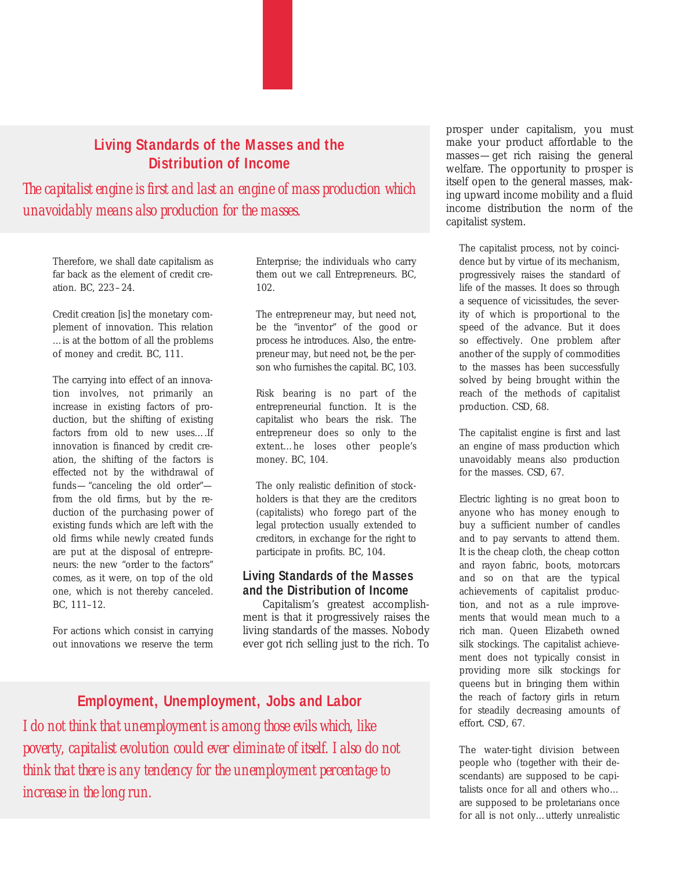## **Living Standards of the Masses and the Distribution of Income**

*The capitalist engine is first and last an engine of mass production which unavoidably means also production for the masses.*

Therefore, we shall date capitalism as far back as the element of credit creation. *BC, 223–24.*

Credit creation [is] the monetary complement of innovation. This relation …is at the bottom of all the problems of money and credit. *BC, 111.*

The carrying into effect of an innovation involves, not primarily an increase in existing factors of production, but the shifting of existing factors from old to new uses….If innovation is financed by credit creation, the shifting of the factors is effected not by the withdrawal of funds—"canceling the old order" from the old firms, but by the reduction of the purchasing power of existing funds which are left with the old firms while newly created funds are put at the disposal of entrepreneurs: the new "order to the factors" comes, as it were, on top of the old one, which is not thereby canceled. *BC, 111–12.*

For actions which consist in carrying out innovations we reserve the term Enterprise; the individuals who carry them out we call Entrepreneurs. *BC, 102.*

The entrepreneur may, but need not, be the "inventor" of the good or process he introduces. Also, the entrepreneur may, but need not, be the person who furnishes the capital. *BC, 103.*

Risk bearing is no part of the entrepreneurial function. It is the capitalist who bears the risk. The entrepreneur does so only to the extent…he loses other people's money. *BC, 104.*

The only realistic definition of stockholders is that they are the creditors (capitalists) who forego part of the legal protection usually extended to creditors, in exchange for the right to participate in profits. *BC, 104.*

#### **Living Standards of the Masses and the Distribution of Income**

Capitalism's greatest accomplishment is that it progressively raises the living standards of the masses. Nobody ever got rich selling just to the rich. To

## **Employment, Unemployment, Jobs and Labor**

*I do not think that unemployment is among those evils which, like poverty, capitalist evolution could ever eliminate of itself. I also do not think that there is any tendency for the unemployment percentage to increase in the long run.*

prosper under capitalism, you must make your product affordable to the masses—get rich raising the general welfare. The opportunity to prosper is itself open to the general masses, making upward income mobility and a fluid income distribution the norm of the capitalist system.

The capitalist process, not by coincidence but by virtue of its mechanism, progressively raises the standard of life of the masses. It does so through a sequence of vicissitudes, the severity of which is proportional to the speed of the advance. But it does so effectively. One problem after another of the supply of commodities to the masses has been successfully solved by being brought within the reach of the methods of capitalist production. *CSD, 68.*

The capitalist engine is first and last an engine of mass production which unavoidably means also production for the masses. *CSD, 67.*

Electric lighting is no great boon to anyone who has money enough to buy a sufficient number of candles and to pay servants to attend them. It is the cheap cloth, the cheap cotton and rayon fabric, boots, motorcars and so on that are the typical achievements of capitalist production, and not as a rule improvements that would mean much to a rich man. Queen Elizabeth owned silk stockings. The capitalist achievement does not typically consist in providing more silk stockings for queens but in bringing them within the reach of factory girls in return for steadily decreasing amounts of effort. *CSD, 67.*

The water-tight division between people who (together with their descendants) are supposed to be capitalists once for all and others who… are supposed to be proletarians once for all is not only…utterly unrealistic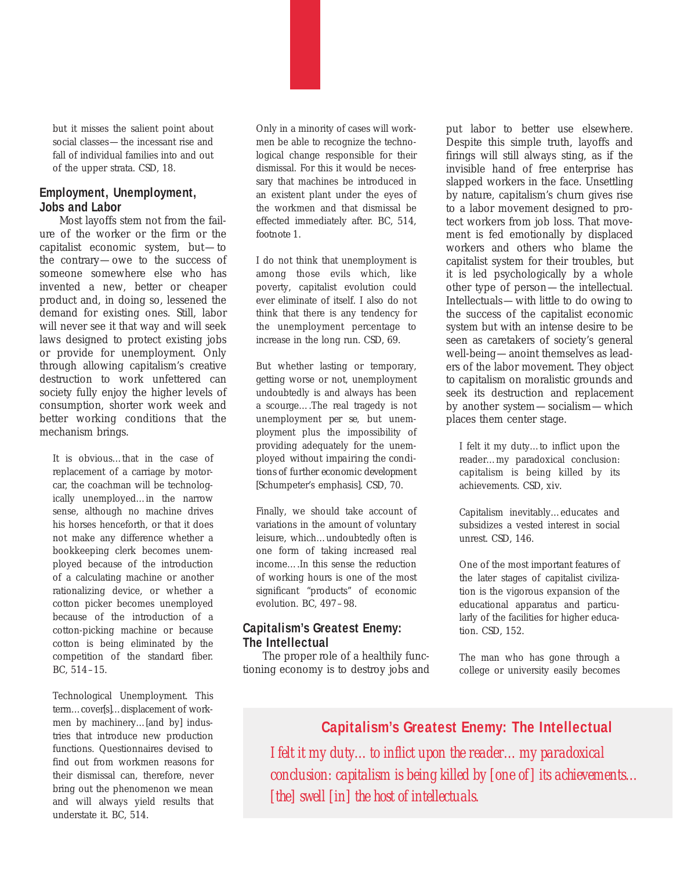but it misses the salient point about social classes—the incessant rise and fall of individual families into and out of the upper strata. *CSD, 18.*

#### **Employment, Unemployment, Jobs and Labor**

Most layoffs stem not from the failure of the worker or the firm or the capitalist economic system, but—to the contrary—owe to the success of someone somewhere else who has invented a new, better or cheaper product and, in doing so, lessened the demand for existing ones. Still, labor will never see it that way and will seek laws designed to protect existing jobs or provide for unemployment. Only through allowing capitalism's creative destruction to work unfettered can society fully enjoy the higher levels of consumption, shorter work week and better working conditions that the mechanism brings.

It is obvious…that in the case of replacement of a carriage by motorcar, the coachman will be technologically unemployed…in the narrow sense, although no machine drives his horses henceforth, or that it does not make any difference whether a bookkeeping clerk becomes unemployed because of the introduction of a calculating machine or another rationalizing device, or whether a cotton picker becomes unemployed because of the introduction of a cotton-picking machine or because cotton is being eliminated by the competition of the standard fiber. *BC, 514–15.*

Technological Unemployment. This term…cover[s]…displacement of workmen by machinery…[and by] industries that introduce new production functions. Questionnaires devised to find out from workmen reasons for their dismissal can, therefore, never bring out the phenomenon we mean and will always yield results that understate it. *BC, 514.*

Only in a minority of cases will workmen be able to recognize the technological change responsible for their dismissal. For this it would be necessary that machines be introduced in an existent plant under the eyes of the workmen and that dismissal be effected immediately after. *BC, 514, footnote 1.*

I do not think that unemployment is among those evils which, like poverty, capitalist evolution could ever eliminate of itself. I also do not think that there is any tendency for the unemployment percentage to increase in the long run. *CSD, 69.*

But whether lasting or temporary, getting worse or not, unemployment undoubtedly is and always has been a scourge….The real tragedy is not unemployment *per se*, but unemployment plus the impossibility of providing adequately for the unemployed *without impairing the conditions of further economic development* [Schumpeter's emphasis]. *CSD, 70.*

Finally, we should take account of variations in the amount of voluntary leisure, which…undoubtedly often is one form of taking increased real income….In this sense the reduction of working hours is one of the most significant "products" of economic evolution. *BC, 497–98.*

#### **Capitalism's Greatest Enemy: The Intellectual**

The proper role of a healthily functioning economy is to destroy jobs and put labor to better use elsewhere. Despite this simple truth, layoffs and firings will still always sting, as if the invisible hand of free enterprise has slapped workers in the face. Unsettling by nature, capitalism's churn gives rise to a labor movement designed to protect workers from job loss. That movement is fed emotionally by displaced workers and others who blame the capitalist system for their troubles, but it is led psychologically by a whole other type of person—the intellectual. Intellectuals—with little to do owing to the success of the capitalist economic system but with an intense desire to be seen as caretakers of society's general well-being—anoint themselves as leaders of the labor movement. They object to capitalism on moralistic grounds and seek its destruction and replacement by another system—socialism—which places them center stage.

I felt it my duty…to inflict upon the reader…my paradoxical conclusion: capitalism is being killed by its achievements. *CSD, xiv.*

Capitalism inevitably…educates and subsidizes a vested interest in social unrest. *CSD, 146.*

One of the most important features of the later stages of capitalist civilization is the vigorous expansion of the educational apparatus and particularly of the facilities for higher education. *CSD, 152.*

The man who has gone through a college or university easily becomes

## **Capitalism's Greatest Enemy: The Intellectual**

*I felt it my duty…to inflict upon the reader…my paradoxical conclusion: capitalism is being killed by [one of ] its achievements… [the] swell [in] the host of intellectuals.*